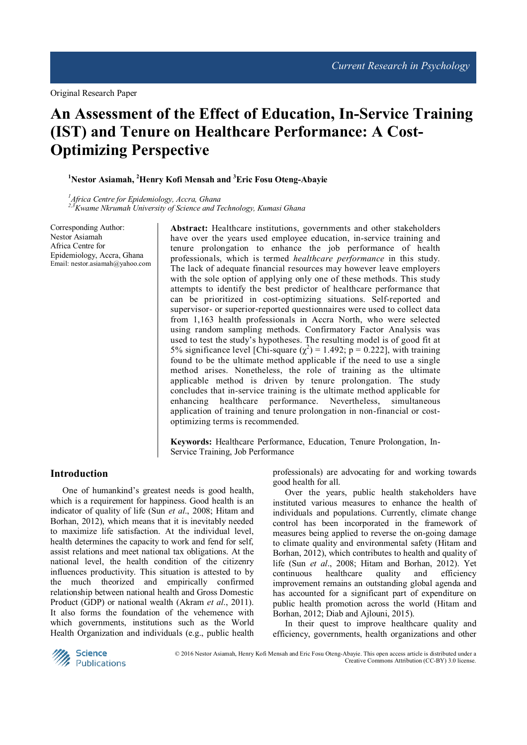# **An Assessment of the Effect of Education, In-Service Training (IST) and Tenure on Healthcare Performance: A Cost-Optimizing Perspective**

## **<sup>1</sup>Nestor Asiamah, <sup>2</sup>Henry Kofi Mensah and <sup>3</sup>Eric Fosu Oteng-Abayie**

*<sup>1</sup>Africa Centre for Epidemiology, Accra, Ghana 2,3Kwame Nkrumah University of Science and Technology, Kumasi Ghana* 

Corresponding Author: Nestor Asiamah Africa Centre for Epidemiology, Accra, Ghana Email: nestor.asiamah@yahoo.com Abstract: Healthcare institutions, governments and other stakeholders have over the years used employee education, in-service training and tenure prolongation to enhance the job performance of health professionals, which is termed *healthcare performance* in this study. The lack of adequate financial resources may however leave employers with the sole option of applying only one of these methods. This study attempts to identify the best predictor of healthcare performance that can be prioritized in cost-optimizing situations. Self-reported and supervisor- or superior-reported questionnaires were used to collect data from 1,163 health professionals in Accra North, who were selected using random sampling methods. Confirmatory Factor Analysis was used to test the study's hypotheses. The resulting model is of good fit at 5% significance level [Chi-square  $(\chi^2)$  = 1.492; p = 0.222], with training found to be the ultimate method applicable if the need to use a single method arises. Nonetheless, the role of training as the ultimate applicable method is driven by tenure prolongation. The study concludes that in-service training is the ultimate method applicable for enhancing healthcare performance. Nevertheless, simultaneous application of training and tenure prolongation in non-financial or costoptimizing terms is recommended.

**Keywords:** Healthcare Performance, Education, Tenure Prolongation, In-Service Training, Job Performance

## **Introduction**

One of humankind's greatest needs is good health, which is a requirement for happiness. Good health is an indicator of quality of life (Sun *et al*., 2008; Hitam and Borhan, 2012), which means that it is inevitably needed to maximize life satisfaction. At the individual level, health determines the capacity to work and fend for self, assist relations and meet national tax obligations. At the national level, the health condition of the citizenry influences productivity. This situation is attested to by the much theorized and empirically confirmed relationship between national health and Gross Domestic Product (GDP) or national wealth (Akram *et al*., 2011). It also forms the foundation of the vehemence with which governments, institutions such as the World Health Organization and individuals (e.g., public health professionals) are advocating for and working towards good health for all.

Over the years, public health stakeholders have instituted various measures to enhance the health of individuals and populations. Currently, climate change control has been incorporated in the framework of measures being applied to reverse the on-going damage to climate quality and environmental safety (Hitam and Borhan, 2012), which contributes to health and quality of life (Sun *et al*., 2008; Hitam and Borhan, 2012). Yet continuous healthcare quality and efficiency improvement remains an outstanding global agenda and has accounted for a significant part of expenditure on public health promotion across the world (Hitam and Borhan, 2012; Diab and Ajlouni, 2015).

In their quest to improve healthcare quality and efficiency, governments, health organizations and other



© 2016 Nestor Asiamah, Henry Kofi Mensah and Eric Fosu Oteng-Abayie. This open access article is distributed under a Creative Commons Attribution (CC-BY) 3.0 license.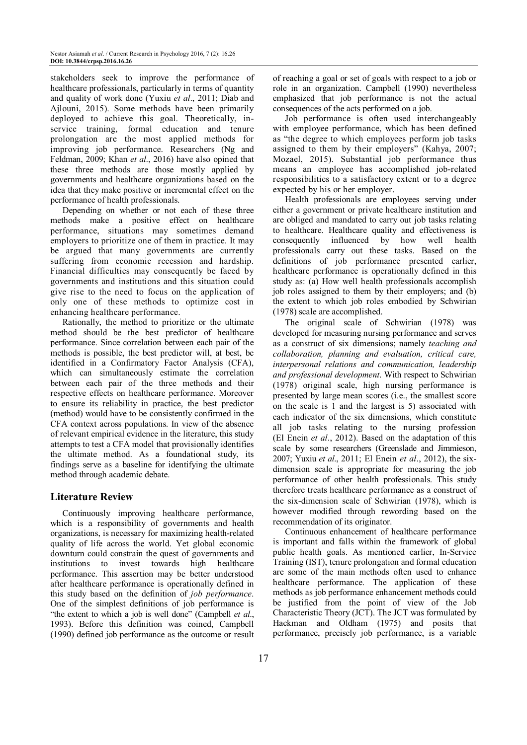stakeholders seek to improve the performance of healthcare professionals, particularly in terms of quantity and quality of work done (Yuxiu *et al*., 2011; Diab and Ajlouni, 2015). Some methods have been primarily deployed to achieve this goal. Theoretically, inservice training, formal education and tenure prolongation are the most applied methods for improving job performance. Researchers (Ng and Feldman, 2009; Khan *et al*., 2016) have also opined that these three methods are those mostly applied by governments and healthcare organizations based on the idea that they make positive or incremental effect on the performance of health professionals.

Depending on whether or not each of these three methods make a positive effect on healthcare performance, situations may sometimes demand employers to prioritize one of them in practice. It may be argued that many governments are currently suffering from economic recession and hardship. Financial difficulties may consequently be faced by governments and institutions and this situation could give rise to the need to focus on the application of only one of these methods to optimize cost in enhancing healthcare performance.

Rationally, the method to prioritize or the ultimate method should be the best predictor of healthcare performance. Since correlation between each pair of the methods is possible, the best predictor will, at best, be identified in a Confirmatory Factor Analysis (CFA), which can simultaneously estimate the correlation between each pair of the three methods and their respective effects on healthcare performance. Moreover to ensure its reliability in practice, the best predictor (method) would have to be consistently confirmed in the CFA context across populations. In view of the absence of relevant empirical evidence in the literature, this study attempts to test a CFA model that provisionally identifies the ultimate method. As a foundational study, its findings serve as a baseline for identifying the ultimate method through academic debate.

## **Literature Review**

Continuously improving healthcare performance, which is a responsibility of governments and health organizations, is necessary for maximizing health-related quality of life across the world. Yet global economic downturn could constrain the quest of governments and institutions to invest towards high healthcare performance. This assertion may be better understood after healthcare performance is operationally defined in this study based on the definition of *job performance*. One of the simplest definitions of job performance is "the extent to which a job is well done" (Campbell *et al*., 1993). Before this definition was coined, Campbell (1990) defined job performance as the outcome or result of reaching a goal or set of goals with respect to a job or role in an organization. Campbell (1990) nevertheless emphasized that job performance is not the actual consequences of the acts performed on a job.

Job performance is often used interchangeably with employee performance, which has been defined as "the degree to which employees perform job tasks assigned to them by their employers" (Kahya, 2007; Mozael, 2015). Substantial job performance thus means an employee has accomplished job-related responsibilities to a satisfactory extent or to a degree expected by his or her employer.

Health professionals are employees serving under either a government or private healthcare institution and are obliged and mandated to carry out job tasks relating to healthcare. Healthcare quality and effectiveness is consequently influenced by how well health professionals carry out these tasks. Based on the definitions of job performance presented earlier, healthcare performance is operationally defined in this study as: (a) How well health professionals accomplish job roles assigned to them by their employers; and (b) the extent to which job roles embodied by Schwirian (1978) scale are accomplished.

The original scale of Schwirian (1978) was developed for measuring nursing performance and serves as a construct of six dimensions; namely *teaching and collaboration, planning and evaluation, critical care, interpersonal relations and communication, leadership and professional development*. With respect to Schwirian (1978) original scale, high nursing performance is presented by large mean scores (i.e., the smallest score on the scale is 1 and the largest is 5) associated with each indicator of the six dimensions, which constitute all job tasks relating to the nursing profession (El Enein *et al*., 2012). Based on the adaptation of this scale by some researchers (Greenslade and Jimmieson, 2007; Yuxiu *et al*., 2011; El Enein *et al*., 2012), the sixdimension scale is appropriate for measuring the job performance of other health professionals. This study therefore treats healthcare performance as a construct of the six-dimension scale of Schwirian (1978), which is however modified through rewording based on the recommendation of its originator.

Continuous enhancement of healthcare performance is important and falls within the framework of global public health goals. As mentioned earlier, In-Service Training (IST), tenure prolongation and formal education are some of the main methods often used to enhance healthcare performance. The application of these methods as job performance enhancement methods could be justified from the point of view of the Job Characteristic Theory (JCT). The JCT was formulated by Hackman and Oldham (1975) and posits that performance, precisely job performance, is a variable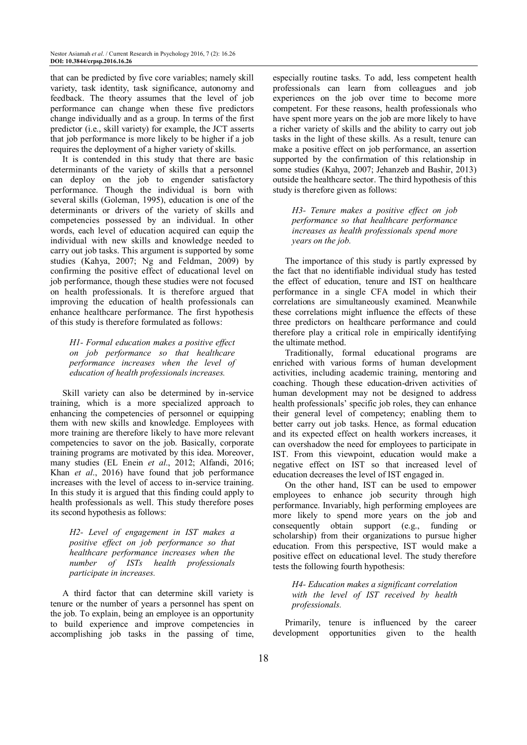that can be predicted by five core variables; namely skill variety, task identity, task significance, autonomy and feedback. The theory assumes that the level of job performance can change when these five predictors change individually and as a group. In terms of the first predictor (i.e., skill variety) for example, the JCT asserts that job performance is more likely to be higher if a job requires the deployment of a higher variety of skills.

It is contended in this study that there are basic determinants of the variety of skills that a personnel can deploy on the job to engender satisfactory performance. Though the individual is born with several skills (Goleman, 1995), education is one of the determinants or drivers of the variety of skills and competencies possessed by an individual. In other words, each level of education acquired can equip the individual with new skills and knowledge needed to carry out job tasks. This argument is supported by some studies (Kahya, 2007; Ng and Feldman, 2009) by confirming the positive effect of educational level on job performance, though these studies were not focused on health professionals. It is therefore argued that improving the education of health professionals can enhance healthcare performance. The first hypothesis of this study is therefore formulated as follows:

*H1- Formal education makes a positive effect on job performance so that healthcare performance increases when the level of education of health professionals increases.* 

Skill variety can also be determined by in-service training, which is a more specialized approach to enhancing the competencies of personnel or equipping them with new skills and knowledge. Employees with more training are therefore likely to have more relevant competencies to savor on the job. Basically, corporate training programs are motivated by this idea. Moreover, many studies (EL Enein *et al*., 2012; Alfandi, 2016; Khan *et al*., 2016) have found that job performance increases with the level of access to in-service training. In this study it is argued that this finding could apply to health professionals as well. This study therefore poses its second hypothesis as follows:

*H2- Level of engagement in IST makes a positive effect on job performance so that healthcare performance increases when the number of ISTs health professionals participate in increases.* 

A third factor that can determine skill variety is tenure or the number of years a personnel has spent on the job. To explain, being an employee is an opportunity to build experience and improve competencies in accomplishing job tasks in the passing of time, especially routine tasks. To add, less competent health professionals can learn from colleagues and job experiences on the job over time to become more competent. For these reasons, health professionals who have spent more years on the job are more likely to have a richer variety of skills and the ability to carry out job tasks in the light of these skills. As a result, tenure can make a positive effect on job performance, an assertion supported by the confirmation of this relationship in some studies (Kahya, 2007; Jehanzeb and Bashir, 2013) outside the healthcare sector. The third hypothesis of this study is therefore given as follows:

*H3- Tenure makes a positive effect on job performance so that healthcare performance increases as health professionals spend more years on the job.* 

The importance of this study is partly expressed by the fact that no identifiable individual study has tested the effect of education, tenure and IST on healthcare performance in a single CFA model in which their correlations are simultaneously examined. Meanwhile these correlations might influence the effects of these three predictors on healthcare performance and could therefore play a critical role in empirically identifying the ultimate method.

Traditionally, formal educational programs are enriched with various forms of human development activities, including academic training, mentoring and coaching. Though these education-driven activities of human development may not be designed to address health professionals' specific job roles, they can enhance their general level of competency; enabling them to better carry out job tasks. Hence, as formal education and its expected effect on health workers increases, it can overshadow the need for employees to participate in IST. From this viewpoint, education would make a negative effect on IST so that increased level of education decreases the level of IST engaged in.

On the other hand, IST can be used to empower employees to enhance job security through high performance. Invariably, high performing employees are more likely to spend more years on the job and consequently obtain support (e.g., funding or scholarship) from their organizations to pursue higher education. From this perspective, IST would make a positive effect on educational level. The study therefore tests the following fourth hypothesis:

*H4- Education makes a significant correlation with the level of IST received by health professionals.* 

Primarily, tenure is influenced by the career development opportunities given to the health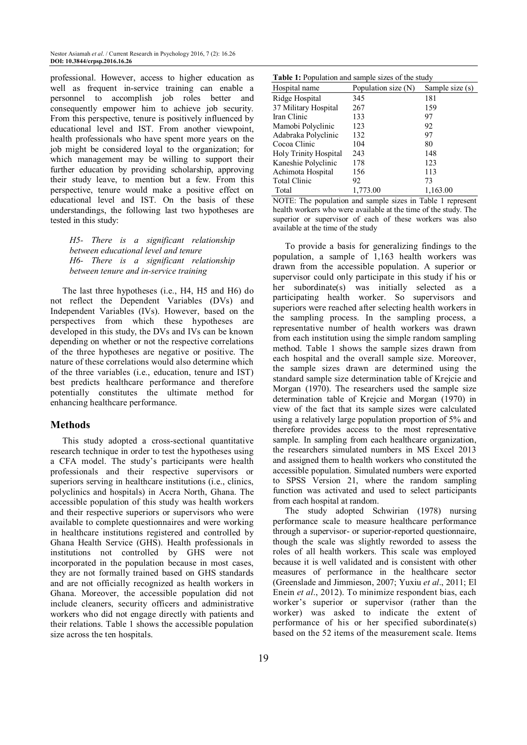professional. However, access to higher education as well as frequent in-service training can enable a personnel to accomplish job roles better and consequently empower him to achieve job security. From this perspective, tenure is positively influenced by educational level and IST. From another viewpoint, health professionals who have spent more years on the job might be considered loyal to the organization; for which management may be willing to support their further education by providing scholarship, approving their study leave, to mention but a few. From this perspective, tenure would make a positive effect on educational level and IST. On the basis of these understandings, the following last two hypotheses are tested in this study:

*H5- There is a significant relationship between educational level and tenure H6- There is a significant relationship between tenure and in-service training* 

The last three hypotheses (i.e., H4, H5 and H6) do not reflect the Dependent Variables (DVs) and Independent Variables (IVs). However, based on the perspectives from which these hypotheses are developed in this study, the DVs and IVs can be known depending on whether or not the respective correlations of the three hypotheses are negative or positive. The nature of these correlations would also determine which of the three variables (i.e., education, tenure and IST) best predicts healthcare performance and therefore potentially constitutes the ultimate method for enhancing healthcare performance.

## **Methods**

This study adopted a cross-sectional quantitative research technique in order to test the hypotheses using a CFA model. The study's participants were health professionals and their respective supervisors or superiors serving in healthcare institutions (i.e., clinics, polyclinics and hospitals) in Accra North, Ghana. The accessible population of this study was health workers and their respective superiors or supervisors who were available to complete questionnaires and were working in healthcare institutions registered and controlled by Ghana Health Service (GHS). Health professionals in institutions not controlled by GHS were not incorporated in the population because in most cases, they are not formally trained based on GHS standards and are not officially recognized as health workers in Ghana. Moreover, the accessible population did not include cleaners, security officers and administrative workers who did not engage directly with patients and their relations. Table 1 shows the accessible population size across the ten hospitals.

| <b>Table 1:</b> Population and sample sizes of the study |                     |                 |  |  |  |
|----------------------------------------------------------|---------------------|-----------------|--|--|--|
| Hospital name                                            | Population size (N) | Sample size (s) |  |  |  |
| Ridge Hospital                                           | 345                 | 181             |  |  |  |
| 37 Military Hospital                                     | 267                 | 159             |  |  |  |
| Iran Clinic                                              | 133                 | 97              |  |  |  |
| Mamobi Polyclinic                                        | 123                 | 92              |  |  |  |
| Adabraka Polyclinic                                      | 132                 | 97              |  |  |  |
| Cocoa Clinic                                             | 104                 | 80              |  |  |  |
| Holy Trinity Hospital                                    | 243                 | 148             |  |  |  |
| Kaneshie Polyclinic                                      | 178                 | 123             |  |  |  |
| Achimota Hospital                                        | 156                 | 113             |  |  |  |
| Total Clinic                                             | 92                  | 73              |  |  |  |
| Total                                                    | 1,773.00            | 1,163.00        |  |  |  |

NOTE: The population and sample sizes in Table 1 represent health workers who were available at the time of the study. The superior or supervisor of each of these workers was also available at the time of the study

To provide a basis for generalizing findings to the population, a sample of 1,163 health workers was drawn from the accessible population. A superior or supervisor could only participate in this study if his or her subordinate(s) was initially selected as a participating health worker. So supervisors and superiors were reached after selecting health workers in the sampling process. In the sampling process, a representative number of health workers was drawn from each institution using the simple random sampling method. Table 1 shows the sample sizes drawn from each hospital and the overall sample size. Moreover, the sample sizes drawn are determined using the standard sample size determination table of Krejcie and Morgan (1970). The researchers used the sample size determination table of Krejcie and Morgan (1970) in view of the fact that its sample sizes were calculated using a relatively large population proportion of 5% and therefore provides access to the most representative sample. In sampling from each healthcare organization, the researchers simulated numbers in MS Excel 2013 and assigned them to health workers who constituted the accessible population. Simulated numbers were exported to SPSS Version 21, where the random sampling function was activated and used to select participants from each hospital at random.

The study adopted Schwirian (1978) nursing performance scale to measure healthcare performance through a supervisor- or superior-reported questionnaire, though the scale was slightly reworded to assess the roles of all health workers. This scale was employed because it is well validated and is consistent with other measures of performance in the healthcare sector (Greenslade and Jimmieson, 2007; Yuxiu *et al*., 2011; El Enein *et al*., 2012). To minimize respondent bias, each worker's superior or supervisor (rather than the worker) was asked to indicate the extent of performance of his or her specified subordinate(s) based on the 52 items of the measurement scale. Items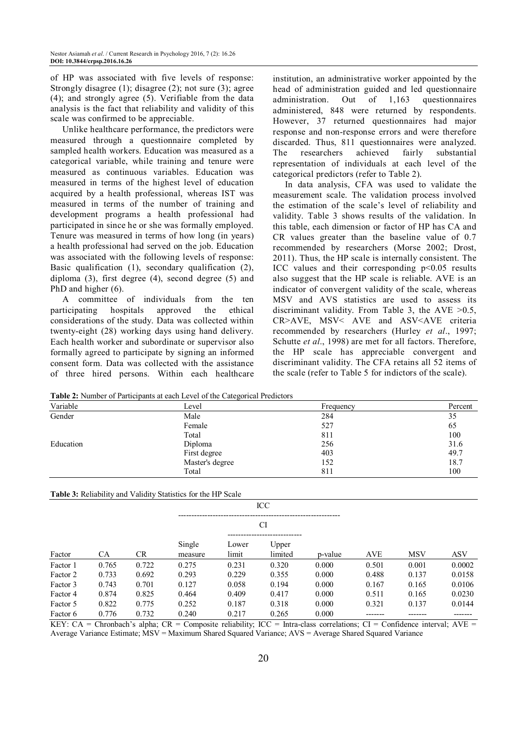of HP was associated with five levels of response: Strongly disagree (1); disagree (2); not sure (3); agree (4); and strongly agree (5). Verifiable from the data analysis is the fact that reliability and validity of this scale was confirmed to be appreciable.

Unlike healthcare performance, the predictors were measured through a questionnaire completed by sampled health workers. Education was measured as a categorical variable, while training and tenure were measured as continuous variables. Education was measured in terms of the highest level of education acquired by a health professional, whereas IST was measured in terms of the number of training and development programs a health professional had participated in since he or she was formally employed. Tenure was measured in terms of how long (in years) a health professional had served on the job. Education was associated with the following levels of response: Basic qualification (1), secondary qualification (2), diploma (3), first degree (4), second degree (5) and PhD and higher  $(6)$ .

A committee of individuals from the ten participating hospitals approved the ethical considerations of the study. Data was collected within twenty-eight (28) working days using hand delivery. Each health worker and subordinate or supervisor also formally agreed to participate by signing an informed consent form. Data was collected with the assistance of three hired persons. Within each healthcare

institution, an administrative worker appointed by the head of administration guided and led questionnaire administration. Out of 1,163 questionnaires administered, 848 were returned by respondents. However, 37 returned questionnaires had major response and non-response errors and were therefore discarded. Thus, 811 questionnaires were analyzed. The researchers achieved fairly substantial representation of individuals at each level of the categorical predictors (refer to Table 2).

In data analysis, CFA was used to validate the measurement scale. The validation process involved the estimation of the scale's level of reliability and validity. Table 3 shows results of the validation. In this table, each dimension or factor of HP has CA and CR values greater than the baseline value of 0.7 recommended by researchers (Morse 2002; Drost, 2011). Thus, the HP scale is internally consistent. The ICC values and their corresponding p<0.05 results also suggest that the HP scale is reliable. AVE is an indicator of convergent validity of the scale, whereas MSV and AVS statistics are used to assess its discriminant validity. From Table 3, the AVE  $>0.5$ , CR>AVE, MSV< AVE and ASV<AVE criteria recommended by researchers (Hurley *et al*., 1997; Schutte *et al*., 1998) are met for all factors. Therefore, the HP scale has appreciable convergent and discriminant validity. The CFA retains all 52 items of the scale (refer to Table 5 for indictors of the scale).

**Table 2:** Number of Participants at each Level of the Categorical Predictors

| Variable  | Level           | Frequency | Percent |
|-----------|-----------------|-----------|---------|
| Gender    | Male            | 284       | 35      |
|           | Female          | 527       | 65      |
|           | Total           | 811       | 100     |
| Education | Diploma         | 256       | 31.6    |
|           | First degree    | 403       | 49.7    |
|           | Master's degree | 152       | 18.7    |
|           | Total           | 811       | 100     |

| <b>Table 3:</b> Reliability and Validity Statistics for the HP Scale |  |
|----------------------------------------------------------------------|--|
|----------------------------------------------------------------------|--|

|          |       |           |                   | ICC            |                  |         |            |            |            |
|----------|-------|-----------|-------------------|----------------|------------------|---------|------------|------------|------------|
|          |       |           |                   |                | <b>CI</b>        |         |            |            |            |
| Factor   | СA    | <b>CR</b> | Single<br>measure | Lower<br>limit | Upper<br>limited | p-value | <b>AVE</b> | <b>MSV</b> | <b>ASV</b> |
| Factor 1 | 0.765 | 0.722     | 0.275             | 0.231          | 0.320            | 0.000   | 0.501      | 0.001      | 0.0002     |
| Factor 2 | 0.733 | 0.692     | 0.293             | 0.229          | 0.355            | 0.000   | 0.488      | 0.137      | 0.0158     |
| Factor 3 | 0.743 | 0.701     | 0.127             | 0.058          | 0.194            | 0.000   | 0.167      | 0.165      | 0.0106     |
| Factor 4 | 0.874 | 0.825     | 0.464             | 0.409          | 0.417            | 0.000   | 0.511      | 0.165      | 0.0230     |
| Factor 5 | 0.822 | 0.775     | 0.252             | 0.187          | 0.318            | 0.000   | 0.321      | 0.137      | 0.0144     |
| Factor 6 | 0.776 | 0.732     | 0.240             | 0.217          | 0.265            | 0.000   | -------    |            |            |

KEY:  $CA =$  Chronbach's alpha;  $CR =$  Composite reliability;  $ICC =$  Intra-class correlations;  $CI =$  Confidence interval;  $AVE =$ Average Variance Estimate; MSV = Maximum Shared Squared Variance; AVS = Average Shared Squared Variance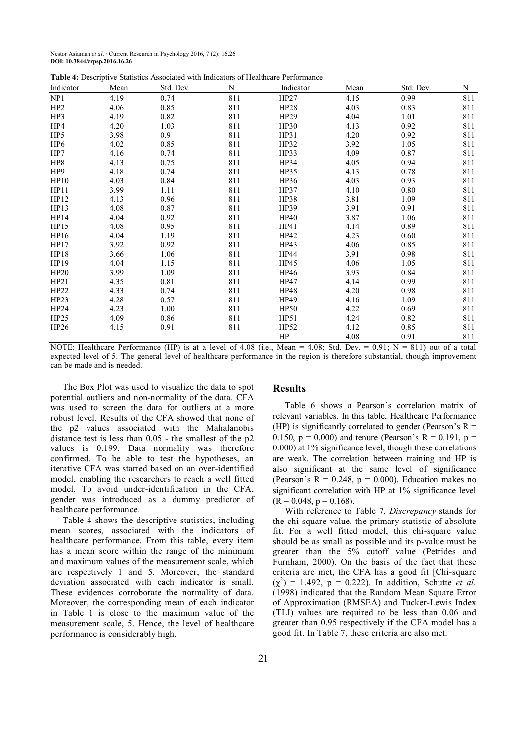Nestor Asiamah *et al*. / Current Research in Psychology 2016, 7 (2): 16.26 **DOI: 10.3844/crpsp.2016.16.26** 

|                 |      | Table 4: Descriptive Statistics Associated with Indicators of Healthcare Performance |     |             |      |           |     |
|-----------------|------|--------------------------------------------------------------------------------------|-----|-------------|------|-----------|-----|
| Indicator       | Mean | Std. Dev.                                                                            | N   | Indicator   | Mean | Std. Dev. | N   |
| NP1             | 4.19 | 0.74                                                                                 | 811 | HP27        | 4.15 | 0.99      | 811 |
| HP2             | 4.06 | 0.85                                                                                 | 811 | HP28        | 4.03 | 0.83      | 811 |
| HP3             | 4.19 | 0.82                                                                                 | 811 | HP29        | 4.04 | 1.01      | 811 |
| HP4             | 4.20 | 1.03                                                                                 | 811 | HP30        | 4.13 | 0.92      | 811 |
| HP5             | 3.98 | 0.9                                                                                  | 811 | HP31        | 4.20 | 0.92      | 811 |
| HP <sub>6</sub> | 4.02 | 0.85                                                                                 | 811 | HP32        | 3.92 | 1.05      | 811 |
| HP7             | 4.16 | 0.74                                                                                 | 811 | HP33        | 4.09 | 0.87      | 811 |
| HP8             | 4.13 | 0.75                                                                                 | 811 | HP34        | 4.05 | 0.94      | 811 |
| HP <sub>9</sub> | 4.18 | 0.74                                                                                 | 811 | HP35        | 4.13 | 0.78      | 811 |
| HP10            | 4.03 | 0.84                                                                                 | 811 | HP36        | 4.03 | 0.93      | 811 |
| HP11            | 3.99 | 1.11                                                                                 | 811 | HP37        | 4.10 | 0.80      | 811 |
| HP12            | 4.13 | 0.96                                                                                 | 811 | HP38        | 3.81 | 1.09      | 811 |
| HP13            | 4.08 | 0.87                                                                                 | 811 | HP39        | 3.91 | 0.91      | 811 |
| HP14            | 4.04 | 0.92                                                                                 | 811 | <b>HP40</b> | 3.87 | 1.06      | 811 |
| HP15            | 4.08 | 0.95                                                                                 | 811 | HP41        | 4.14 | 0.89      | 811 |
| HP16            | 4.04 | 1.19                                                                                 | 811 | HP42        | 4.23 | 0.60      | 811 |
| HP17            | 3.92 | 0.92                                                                                 | 811 | HP43        | 4.06 | 0.85      | 811 |
| HP18            | 3.66 | 1.06                                                                                 | 811 | <b>HP44</b> | 3.91 | 0.98      | 811 |
| HP19            | 4.04 | 1.15                                                                                 | 811 | <b>HP45</b> | 4.06 | 1.05      | 811 |
| HP20            | 3.99 | 1.09                                                                                 | 811 | HP46        | 3.93 | 0.84      | 811 |
| HP21            | 4.35 | 0.81                                                                                 | 811 | <b>HP47</b> | 4.14 | 0.99      | 811 |
| HP22            | 4.33 | 0.74                                                                                 | 811 | <b>HP48</b> | 4.20 | 0.98      | 811 |
| HP23            | 4.28 | 0.57                                                                                 | 811 | HP49        | 4.16 | 1.09      | 811 |
| HP24            | 4.23 | 1.00                                                                                 | 811 | <b>HP50</b> | 4.22 | 0.69      | 811 |
| HP25            | 4.09 | 0.86                                                                                 | 811 | HP51        | 4.24 | 0.82      | 811 |
| HP26            | 4.15 | 0.91                                                                                 | 811 | HP52        | 4.12 | 0.85      | 811 |
|                 |      |                                                                                      |     | HP          | 4.08 | 0.91      | 811 |

| <b>Table 4:</b> Descriptive Statistics Associated with Indicators of Healthcare Performance |  |  |
|---------------------------------------------------------------------------------------------|--|--|
|---------------------------------------------------------------------------------------------|--|--|

NOTE: Healthcare Performance (HP) is at a level of 4.08 (i.e., Mean = 4.08; Std. Dev. = 0.91;  $N = 811$ ) out of a total expected level of 5. The general level of healthcare performance in the region is therefore substantial, though improvement can be made and is needed.

The Box Plot was used to visualize the data to spot potential outliers and non-normality of the data. CFA was used to screen the data for outliers at a more robust level. Results of the CFA showed that none of the p2 values associated with the Mahalanobis distance test is less than 0.05 - the smallest of the p2 values is 0.199. Data normality was therefore confirmed. To be able to test the hypotheses, an iterative CFA was started based on an over-identified model, enabling the researchers to reach a well fitted model. To avoid under-identification in the CFA, gender was introduced as a dummy predictor of healthcare performance.

Table 4 shows the descriptive statistics, including mean scores, associated with the indicators of healthcare performance. From this table, every item has a mean score within the range of the minimum and maximum values of the measurement scale, which are respectively 1 and 5. Moreover, the standard deviation associated with each indicator is small. These evidences corroborate the normality of data. Moreover, the corresponding mean of each indicator in Table 1 is close to the maximum value of the measurement scale, 5. Hence, the level of healthcare performance is considerably high.

#### **Results**

Table 6 shows a Pearson's correlation matrix of relevant variables. In this table, Healthcare Performance (HP) is significantly correlated to gender (Pearson's  $R =$ 0.150,  $p = 0.000$ ) and tenure (Pearson's R = 0.191,  $p =$ 0.000) at 1% significance level, though these correlations are weak. The correlation between training and HP is also significant at the same level of significance (Pearson's  $R = 0.248$ ,  $p = 0.000$ ). Education makes no significant correlation with HP at 1% significance level  $(R = 0.048, p = 0.168)$ .

With reference to Table 7, *Discrepancy* stands for the chi-square value, the primary statistic of absolute fit. For a well fitted model, this chi-square value should be as small as possible and its p-value must be greater than the 5% cutoff value (Petrides and Furnham, 2000). On the basis of the fact that these criteria are met, the CFA has a good fit [Chi-square  $(\chi^2) = 1.492$ , p = 0.222). In addition, Schutte *et al.* (1998) indicated that the Random Mean Square Error of Approximation (RMSEA) and Tucker-Lewis Index (TLI) values are required to be less than 0.06 and greater than 0.95 respectively if the CFA model has a good fit. In Table 7, these criteria are also met.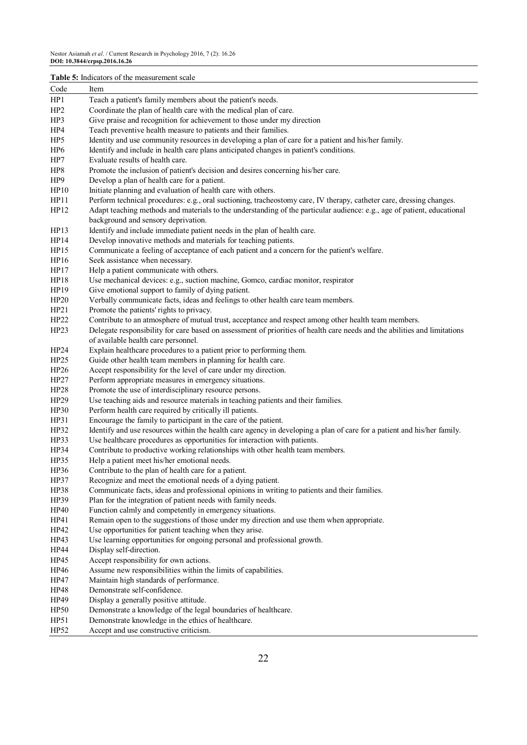## **Table 5:** Indicators of the measurement scale

|                 | <b>Table 5:</b> Indicators of the measurement scale                                                                       |
|-----------------|---------------------------------------------------------------------------------------------------------------------------|
| Code            | Item                                                                                                                      |
| HP1             | Teach a patient's family members about the patient's needs.                                                               |
| HP2             | Coordinate the plan of health care with the medical plan of care.                                                         |
| HP3             | Give praise and recognition for achievement to those under my direction                                                   |
| HP4             | Teach preventive health measure to patients and their families.                                                           |
| HP5             | Identity and use community resources in developing a plan of care for a patient and his/her family.                       |
| HP <sub>6</sub> | Identify and include in health care plans anticipated changes in patient's conditions.                                    |
| HP7             | Evaluate results of health care.                                                                                          |
| HP8             | Promote the inclusion of patient's decision and desires concerning his/her care.                                          |
| HP <sub>9</sub> | Develop a plan of health care for a patient.                                                                              |
| HP10            | Initiate planning and evaluation of health care with others.                                                              |
| HP11            | Perform technical procedures: e.g., oral suctioning, tracheostomy care, IV therapy, catheter care, dressing changes.      |
| HP12            | Adapt teaching methods and materials to the understanding of the particular audience: e.g., age of patient, educational   |
|                 | background and sensory deprivation.                                                                                       |
| HP13            |                                                                                                                           |
|                 | Identify and include immediate patient needs in the plan of health care.                                                  |
| HP14            | Develop innovative methods and materials for teaching patients.                                                           |
| HP15            | Communicate a feeling of acceptance of each patient and a concern for the patient's welfare.                              |
| HP16            | Seek assistance when necessary.                                                                                           |
| HP17            | Help a patient communicate with others.                                                                                   |
| HP18            | Use mechanical devices: e.g., suction machine, Gomco, cardiac monitor, respirator                                         |
| HP19            | Give emotional support to family of dying patient.                                                                        |
| HP20            | Verbally communicate facts, ideas and feelings to other health care team members.                                         |
| HP21            | Promote the patients' rights to privacy.                                                                                  |
| HP22            | Contribute to an atmosphere of mutual trust, acceptance and respect among other health team members.                      |
| HP23            | Delegate responsibility for care based on assessment of priorities of health care needs and the abilities and limitations |
|                 | of available health care personnel.                                                                                       |
| HP24            | Explain healthcare procedures to a patient prior to performing them.                                                      |
| HP25            | Guide other health team members in planning for health care.                                                              |
| HP26            | Accept responsibility for the level of care under my direction.                                                           |
| HP27            | Perform appropriate measures in emergency situations.                                                                     |
| HP28            | Promote the use of interdisciplinary resource persons.                                                                    |
| HP29            | Use teaching aids and resource materials in teaching patients and their families.                                         |
| HP30            | Perform health care required by critically ill patients.                                                                  |
| HP31            | Encourage the family to participant in the care of the patient.                                                           |
| HP32            | Identify and use resources within the health care agency in developing a plan of care for a patient and his/her family.   |
| HP33            | Use healthcare procedures as opportunities for interaction with patients.                                                 |
| HP34            | Contribute to productive working relationships with other health team members.                                            |
| HP35            | Help a patient meet his/her emotional needs.                                                                              |
| HP36            | Contribute to the plan of health care for a patient.                                                                      |
| HP37            | Recognize and meet the emotional needs of a dying patient.                                                                |
| HP38            | Communicate facts, ideas and professional opinions in writing to patients and their families.                             |
| HP39            | Plan for the integration of patient needs with family needs.                                                              |
| HP40            | Function calmly and competently in emergency situations.                                                                  |
| HP41            | Remain open to the suggestions of those under my direction and use them when appropriate.                                 |
| HP42            | Use opportunities for patient teaching when they arise.                                                                   |
| HP43            | Use learning opportunities for ongoing personal and professional growth.                                                  |
| HP44            | Display self-direction.                                                                                                   |
| HP45            | Accept responsibility for own actions.                                                                                    |
| HP46            | Assume new responsibilities within the limits of capabilities.                                                            |
| HP47            | Maintain high standards of performance.                                                                                   |
| HP48            | Demonstrate self-confidence.                                                                                              |
| HP49            | Display a generally positive attitude.                                                                                    |
| HP50            | Demonstrate a knowledge of the legal boundaries of healthcare.                                                            |
| HP51            | Demonstrate knowledge in the ethics of healthcare.                                                                        |
| HP52            | Accept and use constructive criticism.                                                                                    |
|                 |                                                                                                                           |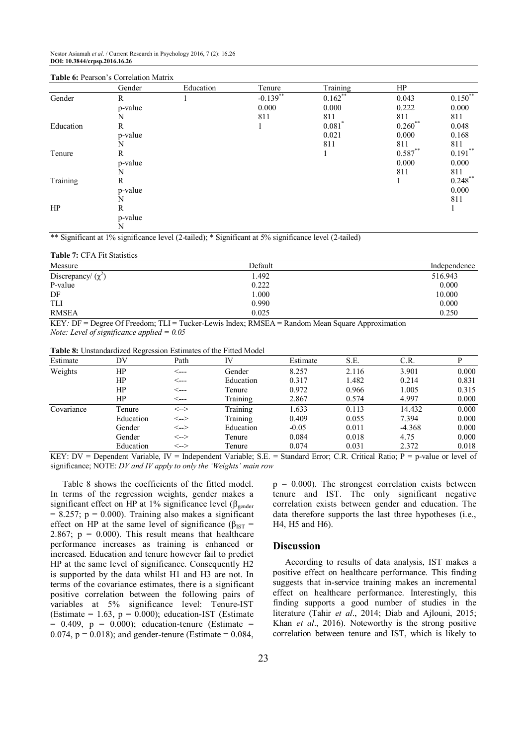|           | Gender  | Education | Tenure      | Training             | HP        |            |
|-----------|---------|-----------|-------------|----------------------|-----------|------------|
| Gender    | R       |           | $-0.139$ ** | $0.162**$            | 0.043     | $0.150***$ |
|           | p-value |           | 0.000       | 0.000                | 0.222     | 0.000      |
|           | N       |           | 811         | 811                  | 811       | 811        |
| Education | R       |           |             | $0.081$ <sup>*</sup> | $0.260**$ | 0.048      |
|           | p-value |           |             | 0.021                | 0.000     | 0.168      |
|           | N       |           |             | 811                  | 811       | 811        |
| Tenure    | R       |           |             |                      | $0.587**$ | $0.191**$  |
|           | p-value |           |             |                      | 0.000     | 0.000      |
|           | N       |           |             |                      | 811       | 811        |
| Training  | R       |           |             |                      |           | $0.248***$ |
|           | p-value |           |             |                      |           | 0.000      |
|           | N       |           |             |                      |           | 811        |
| HP        | R       |           |             |                      |           |            |
|           | p-value |           |             |                      |           |            |
|           | N       |           |             |                      |           |            |

#### **Table 6:** Pearson's Correlation Matrix

\*\* Significant at 1% significance level (2-tailed); \* Significant at 5% significance level (2-tailed)

|  |  |  |  | <b>Table 7: CFA Fit Statistics</b> |
|--|--|--|--|------------------------------------|
|--|--|--|--|------------------------------------|

| Measure                 | Default | Independence |
|-------------------------|---------|--------------|
| Discrepancy/ $(\chi^2)$ | .492    | 516.943      |
| P-value                 | 0.222   | 0.000        |
| DF                      | 000.1   | 10.000       |
| TLI                     | 0.990   | 0.000        |
| <b>RMSEA</b>            | 0.025   | 0.250        |

KEY*:* DF = Degree Of Freedom; TLI = Tucker-Lewis Index; RMSEA = Random Mean Square Approximation *Note: Level of significance applied = 0.05* 

**Table 8:** Unstandardized Regression Estimates of the Fitted Model

| Estimate   | DV        | Path         | IV        | Estimate | S.E.  | C.R.     | D     |
|------------|-----------|--------------|-----------|----------|-------|----------|-------|
| Weights    | HP        | <---         | Gender    | 8.257    | 2.116 | 3.901    | 0.000 |
|            | HP        | <---         | Education | 0.317    | 1.482 | 0.214    | 0.831 |
|            | HP        | <---         | Tenure    | 0.972    | 0.966 | 1.005    | 0.315 |
|            | HP        | <---         | Training  | 2.867    | 0.574 | 4.997    | 0.000 |
| Covariance | Tenure    | $\leftarrow$ | Training  | 1.633    | 0.113 | 14.432   | 0.000 |
|            | Education | $\leftarrow$ | Training  | 0.409    | 0.055 | 7.394    | 0.000 |
|            | Gender    | <-->         | Education | $-0.05$  | 0.011 | $-4.368$ | 0.000 |
|            | Gender    | $\leftarrow$ | Tenure    | 0.084    | 0.018 | 4.75     | 0.000 |
|            | Education | <-->         | Tenure    | 0.074    | 0.031 | 2.372    | 0.018 |

KEY:  $DV = Dependent Variable$ ,  $IV = Independent Variable$ ; S.E. = Standard Error; C.R. Critical Ratio;  $P = p$ -value or level of significance; NOTE: *DV and IV apply to only the 'Weights' main row* 

Table 8 shows the coefficients of the fitted model. In terms of the regression weights, gender makes a significant effect on HP at 1% significance level ( $\beta_{\text{gender}}$  $= 8.257$ ;  $p = 0.000$ ). Training also makes a significant effect on HP at the same level of significance ( $\beta_{\text{IST}}$  = 2.867;  $p = 0.000$ . This result means that healthcare performance increases as training is enhanced or increased. Education and tenure however fail to predict HP at the same level of significance. Consequently H2 is supported by the data whilst H1 and H3 are not. In terms of the covariance estimates, there is a significant positive correlation between the following pairs of variables at 5% significance level: Tenure-IST (Estimate = 1.63,  $p = 0.000$ ); education-IST (Estimate  $= 0.409$ ,  $p = 0.000$ ; education-tenure (Estimate  $=$ 0.074,  $p = 0.018$ ; and gender-tenure (Estimate = 0.084,

 $p = 0.000$ . The strongest correlation exists between tenure and IST. The only significant negative correlation exists between gender and education. The data therefore supports the last three hypotheses (i.e., H4, H5 and H6).

#### **Discussion**

According to results of data analysis, IST makes a positive effect on healthcare performance. This finding suggests that in-service training makes an incremental effect on healthcare performance. Interestingly, this finding supports a good number of studies in the literature (Tahir *et al*., 2014; Diab and Ajlouni, 2015; Khan *et al*., 2016). Noteworthy is the strong positive correlation between tenure and IST, which is likely to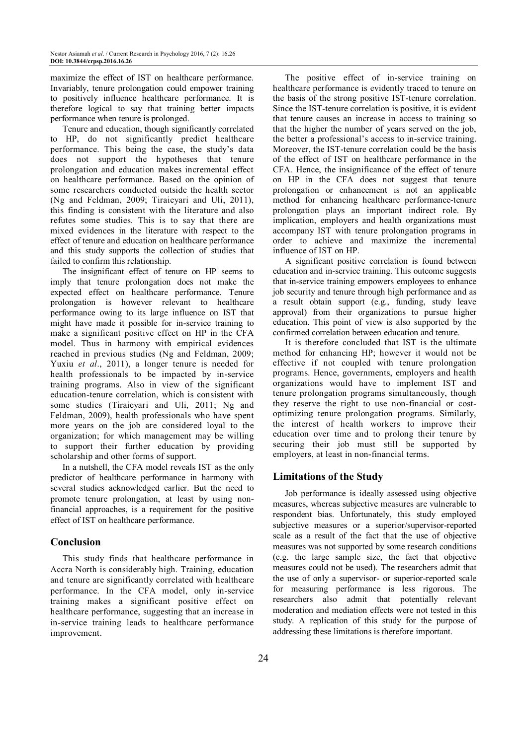maximize the effect of IST on healthcare performance. Invariably, tenure prolongation could empower training to positively influence healthcare performance. It is therefore logical to say that training better impacts performance when tenure is prolonged.

Tenure and education, though significantly correlated to HP, do not significantly predict healthcare performance. This being the case, the study's data does not support the hypotheses that tenure prolongation and education makes incremental effect on healthcare performance. Based on the opinion of some researchers conducted outside the health sector (Ng and Feldman, 2009; Tiraieyari and Uli, 2011), this finding is consistent with the literature and also refutes some studies. This is to say that there are mixed evidences in the literature with respect to the effect of tenure and education on healthcare performance and this study supports the collection of studies that failed to confirm this relationship.

The insignificant effect of tenure on HP seems to imply that tenure prolongation does not make the expected effect on healthcare performance. Tenure prolongation is however relevant to healthcare performance owing to its large influence on IST that might have made it possible for in-service training to make a significant positive effect on HP in the CFA model. Thus in harmony with empirical evidences reached in previous studies (Ng and Feldman, 2009; Yuxiu *et al*., 2011), a longer tenure is needed for health professionals to be impacted by in-service training programs. Also in view of the significant education-tenure correlation, which is consistent with some studies (Tiraieyari and Uli, 2011; Ng and Feldman, 2009), health professionals who have spent more years on the job are considered loyal to the organization; for which management may be willing to support their further education by providing scholarship and other forms of support.

In a nutshell, the CFA model reveals IST as the only predictor of healthcare performance in harmony with several studies acknowledged earlier. But the need to promote tenure prolongation, at least by using nonfinancial approaches, is a requirement for the positive effect of IST on healthcare performance.

## **Conclusion**

This study finds that healthcare performance in Accra North is considerably high. Training, education and tenure are significantly correlated with healthcare performance. In the CFA model, only in-service training makes a significant positive effect on healthcare performance, suggesting that an increase in in-service training leads to healthcare performance improvement.

The positive effect of in-service training on healthcare performance is evidently traced to tenure on the basis of the strong positive IST-tenure correlation. Since the IST-tenure correlation is positive, it is evident that tenure causes an increase in access to training so that the higher the number of years served on the job, the better a professional's access to in-service training. Moreover, the IST-tenure correlation could be the basis of the effect of IST on healthcare performance in the CFA. Hence, the insignificance of the effect of tenure on HP in the CFA does not suggest that tenure prolongation or enhancement is not an applicable method for enhancing healthcare performance-tenure prolongation plays an important indirect role. By implication, employers and health organizations must accompany IST with tenure prolongation programs in order to achieve and maximize the incremental influence of IST on HP.

A significant positive correlation is found between education and in-service training. This outcome suggests that in-service training empowers employees to enhance job security and tenure through high performance and as a result obtain support (e.g., funding, study leave approval) from their organizations to pursue higher education. This point of view is also supported by the confirmed correlation between education and tenure.

It is therefore concluded that IST is the ultimate method for enhancing HP; however it would not be effective if not coupled with tenure prolongation programs. Hence, governments, employers and health organizations would have to implement IST and tenure prolongation programs simultaneously, though they reserve the right to use non-financial or costoptimizing tenure prolongation programs. Similarly, the interest of health workers to improve their education over time and to prolong their tenure by securing their job must still be supported by employers, at least in non-financial terms.

## **Limitations of the Study**

Job performance is ideally assessed using objective measures, whereas subjective measures are vulnerable to respondent bias. Unfortunately, this study employed subjective measures or a superior/supervisor-reported scale as a result of the fact that the use of objective measures was not supported by some research conditions (e.g. the large sample size, the fact that objective measures could not be used). The researchers admit that the use of only a supervisor- or superior-reported scale for measuring performance is less rigorous. The researchers also admit that potentially relevant moderation and mediation effects were not tested in this study. A replication of this study for the purpose of addressing these limitations is therefore important.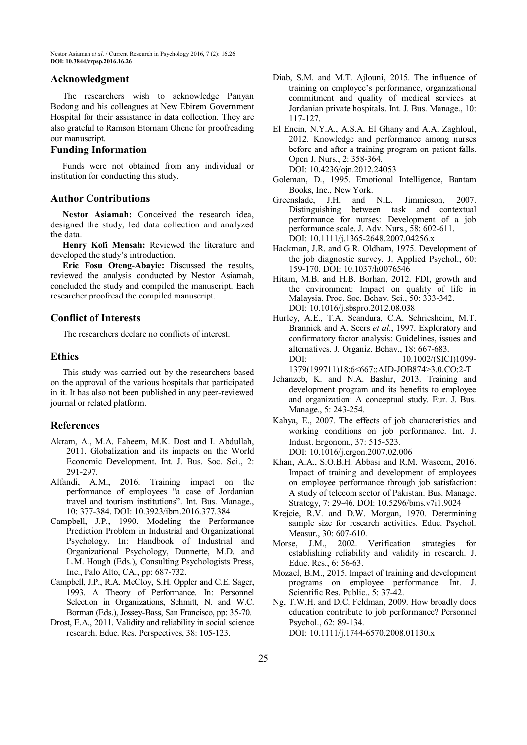#### **Acknowledgment**

The researchers wish to acknowledge Panyan Bodong and his colleagues at New Ebirem Government Hospital for their assistance in data collection. They are also grateful to Ramson Etornam Ohene for proofreading our manuscript.

## **Funding Information**

Funds were not obtained from any individual or institution for conducting this study.

### **Author Contributions**

**Nestor Asiamah:** Conceived the research idea, designed the study, led data collection and analyzed the data.

**Henry Kofi Mensah:** Reviewed the literature and developed the study's introduction.

**Eric Fosu Oteng-Abayie:** Discussed the results, reviewed the analysis conducted by Nestor Asiamah, concluded the study and compiled the manuscript. Each researcher proofread the compiled manuscript.

### **Conflict of Interests**

The researchers declare no conflicts of interest.

#### **Ethics**

This study was carried out by the researchers based on the approval of the various hospitals that participated in it. It has also not been published in any peer-reviewed journal or related platform.

### **References**

- Akram, A., M.A. Faheem, M.K. Dost and I. Abdullah, 2011. Globalization and its impacts on the World Economic Development. Int. J. Bus. Soc. Sci., 2: 291-297.
- Alfandi, A.M., 2016. Training impact on the performance of employees "a case of Jordanian travel and tourism institutions". Int. Bus. Manage., 10: 377-384. DOI: 10.3923/ibm.2016.377.384
- Campbell, J.P., 1990. Modeling the Performance Prediction Problem in Industrial and Organizational Psychology. In: Handbook of Industrial and Organizational Psychology, Dunnette, M.D. and L.M. Hough (Eds.), Consulting Psychologists Press, Inc., Palo Alto, CA., pp: 687-732.
- Campbell, J.P., R.A. McCloy, S.H. Oppler and C.E. Sager, 1993. A Theory of Performance. In: Personnel Selection in Organizations, Schmitt, N. and W.C. Borman (Eds.), Jossey-Bass, San Francisco, pp: 35-70.
- Drost, E.A., 2011. Validity and reliability in social science research. Educ. Res. Perspectives, 38: 105-123.
- Diab, S.M. and M.T. Ajlouni, 2015. The influence of training on employee's performance, organizational commitment and quality of medical services at Jordanian private hospitals. Int. J. Bus. Manage., 10: 117-127.
- El Enein, N.Y.A., A.S.A. El Ghany and A.A. Zaghloul, 2012. Knowledge and performance among nurses before and after a training program on patient falls. Open J. Nurs., 2: 358-364. DOI: 10.4236/ojn.2012.24053
- Goleman, D., 1995. Emotional Intelligence, Bantam Books, Inc., New York.
- Greenslade, J.H. and N.L. Jimmieson, 2007. Distinguishing between task and contextual performance for nurses: Development of a job performance scale. J. Adv. Nurs., 58: 602-611. DOI: 10.1111/j.1365-2648.2007.04256.x
- Hackman, J.R. and G.R. Oldham, 1975. Development of the job diagnostic survey. J. Applied Psychol., 60: 159-170. DOI: 10.1037/h0076546
- Hitam, M.B. and H.B. Borhan, 2012. FDI, growth and the environment: Impact on quality of life in Malaysia. Proc. Soc. Behav. Sci., 50: 333-342. DOI: 10.1016/j.sbspro.2012.08.038
- Hurley, A.E., T.A. Scandura, C.A. Schriesheim, M.T. Brannick and A. Seers *et al*., 1997. Exploratory and confirmatory factor analysis: Guidelines, issues and alternatives. J. Organiz. Behav., 18: 667-683. DOI: 10.1002/(SICI)1099-1379(199711)18:6<667::AID-JOB874>3.0.CO;2-T
- Jehanzeb, K. and N.A. Bashir, 2013. Training and development program and its benefits to employee and organization: A conceptual study. Eur. J. Bus. Manage., 5: 243-254.
- Kahya, E., 2007. The effects of job characteristics and working conditions on job performance. Int. J. Indust. Ergonom., 37: 515-523. DOI: 10.1016/j.ergon.2007.02.006
- Khan, A.A., S.O.B.H. Abbasi and R.M. Waseem, 2016. Impact of training and development of employees on employee performance through job satisfaction: A study of telecom sector of Pakistan. Bus. Manage. Strategy, 7: 29-46. DOI: 10.5296/bms.v7i1.9024
- Krejcie, R.V. and D.W. Morgan, 1970. Determining sample size for research activities. Educ. Psychol. Measur., 30: 607-610.
- Morse, J.M., 2002. Verification strategies for establishing reliability and validity in research. J. Educ. Res., 6: 56-63.
- Mozael, B.M., 2015. Impact of training and development programs on employee performance. Int. J. Scientific Res. Public., 5: 37-42.
- Ng, T.W.H. and D.C. Feldman, 2009. How broadly does education contribute to job performance? Personnel Psychol., 62: 89-134. DOI: 10.1111/j.1744-6570.2008.01130.x